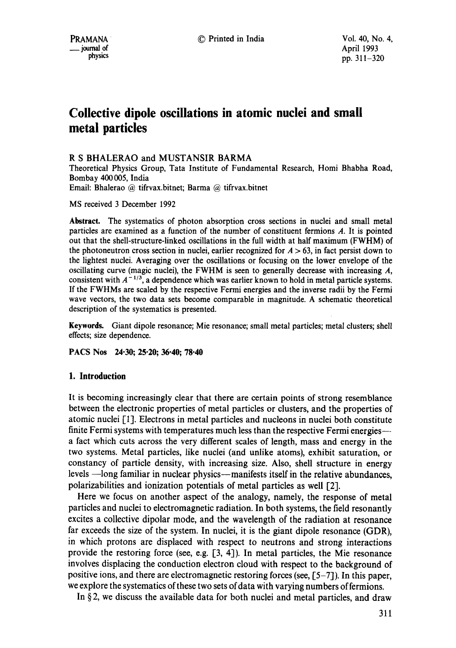# **Collective dipole oscillations in atomic nuclei and small metal particles**

# R S BHALERAO and MUSTANSIR BARMA

Theoretical Physics Group, Tata Institute of Fundamental Research, Homi Bhabha Road, Bombay 400 005, India Email: Bhalerao @ tifrvax.bitnet; Barma @ tifrvax.bitnet

MS received 3 December 1992

**Abstract.** The systematics of photon absorption cross sections in nuclei and small metal particles are examined as a function of the number of constituent fermions A. It is pointed out that the shell-structure-linked oscillations in the full width at half maximum (FWHM) of the photoneutron cross section in nuclei, earlier recognized for  $A > 63$ , in fact persist down to the lightest nuclei. Averaging over the oscillations or focusing on the lower envelope of the oscillating curve (magic nuclei), the FWHM is seen to generally decrease with increasing A, consistent with  $A^{-1/3}$ , a dependence which was earlier known to hold in metal particle systems. If the FWHMs are scaled by the respective Fermi energies and the inverse radii by the Fermi wave vectors, the two data sets become comparable in magnitude. A schematic theoretical description of the systematics is presented.

Keywords. Giant dipole resonance; Mie resonance; small metal particles; metal clusters; shell effects; size dependence.

**PACS Nos 24.30; 25.20; 36.40; 78.40** 

# **1. Introduction**

It is becoming increasingly clear that there are certain points of strong resemblance between the electronic properties of metal particles or clusters, and the properties of atomic nuclei [1]. Electrons in metal particles and nucleons in nuclei both constitute finite Fermi systems with temperatures much less than the respective Fermi energies--a fact which cuts across the very different scales of length, mass and energy in the two systems. Metal particles, like nuclei (and unlike atoms), exhibit saturation, or constancy of particle density, with increasing size. Also, shell structure in energy levels -- long familiar in nuclear physics---manifests itself in the relative abundances, polarizabilities and ionization potentials of metal particles as well [2].

Here we focus on another aspect of the analogy, namely, the response of metal particles and nuclei to electromagnetic radiation. In both systems, the field resonantly excites a collective dipolar mode, and the wavelength of the radiation at resonance far exceeds the size of the system. In nuclei, it is the giant dipole resonance (GDR), in which protons are displaced with respect to neutrons and strong interactions provide the restoring force (see, e.g. [3, 4]). In metal particles, the Mie resonance involves displacing the conduction electron cloud with respect to the background of positive ions, and there are electromagnetic restoring forces (see, [5-7]). In this paper, we explore the systematics of these two sets of data with varying numbers of fermions.

In  $\S$ 2, we discuss the available data for both nuclei and metal particles, and draw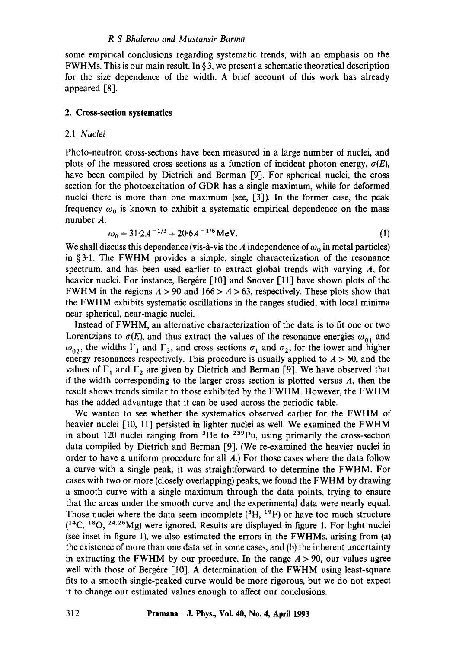some empirical conclusions regarding systematic trends, with an emphasis on the FWHMs. This is our main result. In  $\S$ 3, we present a schematic theoretical description for the size dependence of the width. A brief account of this work has already appeared [8].

## **2. Cross-section systematics**

## 2.1 *Nuclei*

Photo-neutron cross-sections have been measured in a large number of nuclei, and plots of the measured cross sections as a function of incident photon energy,  $\sigma(E)$ , have been compiled by Dietrich and Berman [9]. For spherical nuclei, the cross section for the photoexcitation of GDR has a single maximum, while for deformed nuclei there is more than one maximum (see, [3]). In the former case, the peak frequency  $\omega_0$  is known to exhibit a systematic empirical dependence on the mass number A:

$$
\omega_0 = 31.2A^{-1/3} + 20.6A^{-1/6} \text{MeV}.
$$
 (1)

We shall discuss this dependence (vis-à-vis the A independence of  $\omega_0$  in metal particles) in  $§3.1$ . The FWHM provides a simple, single characterization of the resonance spectrum, and has been used earlier to extract global trends with varying  $A$ , for heavier nuclei. For instance, Bergere  $\lceil 10 \rceil$  and Snover  $\lceil 11 \rceil$  have shown plots of the FWHM in the regions  $A > 90$  and  $166 > A > 63$ , respectively. These plots show that the FWHM exhibits systematic oscillations in the ranges studied, with local minima near spherical, near-magic nuclei.

Instead of FWHM, an alternative characterization of the data is to fit one or two Lorentzians to  $\sigma(E)$ , and thus extract the values of the resonance energies  $\omega_{01}$  and  $\omega_{02}$ , the widths  $\Gamma_1$  and  $\Gamma_2$ , and cross sections  $\sigma_1$  and  $\sigma_2$ , for the lower and higher energy resonances respectively. This procedure is usually applied to  $A > 50$ , and the values of  $\Gamma_1$  and  $\Gamma_2$  are given by Dietrich and Berman [9]. We have observed that if the width corresponding to the larger cross section is plotted versus  $A$ , then the result shows trends similar to those exhibited by the FWHM. However, the FWHM has the added advantage that it can be used across the periodic table.

We wanted to see whether the systematics observed earlier for the FWHM of heavier nuclei [10, 11] persisted in lighter nuclei as well. We examined the FWHM in about 120 nuclei ranging from  ${}^{3}$ He to  ${}^{239}$ Pu, using primarily the cross-section data compiled by Dietrich and Berman [9]. (We re-examined the heavier nuclei in order to have a uniform procedure for all A.) For those cases where the data follow a curve with a single peak, it was straightforward to determine the FWHM. For cases with two or more (closely overlapping) peaks, we found the FWHM by drawing a smooth curve with a single maximum through the data points, trying to ensure that the areas under the smooth curve and the experimental data were nearly equal. Those nuclei where the data seem incomplete  $({}^{3}H, {}^{19}F)$  or have too much structure  $(14C, 18O, 24.26)$  were ignored. Results are displayed in figure 1. For light nuclei (see inset in figure 1), we also estimated the errors in the FWHMs, arising from (a) the existence of more than one data set in some cases, and (b) the inherent uncertainty in extracting the FWHM by our procedure. In the range  $A > 90$ , our values agree well with those of Bergére  $[10]$ . A determination of the FWHM using least-square fits to a smooth single-peaked curve would be more rigorous, but we do not expect it to change our estimated values enough to affect our conclusions.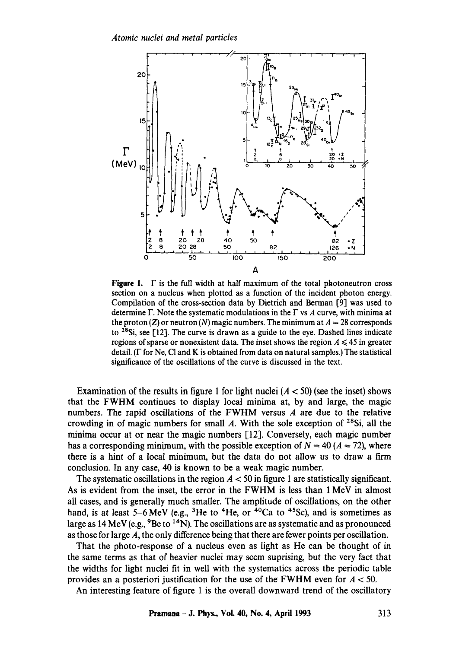

**Figure 1.**  $\Gamma$  is the full width at half maximum of the total photoneutron cross section on a nucleus when plotted as a function of the incident photon energy. Compilation of the cross-section data by Dietrich and Berman [9] was used to determine  $\Gamma$ . Note the systematic modulations in the  $\Gamma$  vs A curve, with minima at the proton (Z) or neutron (N) magic numbers. The minimum at  $A = 28$  corresponds to 28Si, see [12]. The curve is drawn as a guide to the eye. Dashed lines indicate regions of sparse or nonexistent data. The inset shows the region  $A \leq 45$  in greater detail. ( $\Gamma$  for Ne, Cl and K is obtained from data on natural samples.) The statistical significance of the oscillations of the curve is discussed in the text.

Examination of the results in figure 1 for light nuclei  $(A < 50)$  (see the inset) shows that the FWHM continues to display local minima at, by and large, the magic numbers. The rapid oscillations of the FWHM versus A are due to the relative crowding in of magic numbers for small A. With the sole exception of  $28Si$ , all the minima occur at or near the magic numbers [12]. Conversely, each magic number has a corresponding minimum, with the possible exception of  $N = 40 (A = 72)$ , where there is a hint of a local minimum, but the data do not allow us to draw a firm conclusion. In any case, 40 is known to be a weak magic number.

The systematic oscillations in the region  $A < 50$  in figure 1 are statistically significant. As is evident from the inset, the error in the FWHM is less than 1 MeV in almost all cases, and is generally much smaller. The amplitude of oscillations, on the other hand, is at least  $5-6$  MeV (e.g., <sup>3</sup>He to <sup>4</sup>He, or <sup>40</sup>Ca to <sup>45</sup>Sc), and is sometimes as large as  $14 \text{ MeV}$  (e.g.,  $98e$  to  $14\text{ N}$ ). The oscillations are as systematic and as pronounced as those for large A, the only difference being that there are fewer points per oscillation.

That the photo-response of a nucleus even as light as He can be thought of in the same terms as that of heavier nuclei may seem suprising, but the very fact that the widths for light nuclei fit in well with the systematics across the periodic table provides an a posteriori justification for the use of the FWHM even for  $A < 50$ .

An interesting feature of figure 1 is the overall downward trend of the oscillatory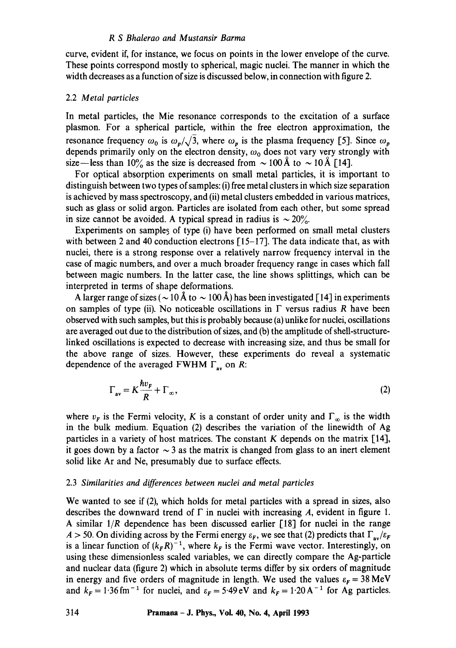curve, evident if, for instance, we focus on points in the lower envelope of the curve. These points correspond mostly to spherical, magic nuclei. The manner in which the width decreases as a function of size is discussed below, in connection with figure 2.

## 2.2 *Metal particles*

In metal particles, the Mie resonance corresponds to the excitation of a surface plasmon. For a spherical particle, within the free electron approximation, the resonance frequency  $\omega_0$  is  $\omega_p/\sqrt{3}$ , where  $\omega_p$  is the plasma frequency [5]. Since  $\omega_p$ depends primarily only on the electron density,  $\omega_0$  does not vary very strongly with size—less than 10% as the size is decreased from  $\sim$  100 Å to  $\sim$  10 Å [14].

For optical absorption experiments on small metal particles, it is important to distinguish between two types of samples: (i) free metal clusters in which size separation is achieved by mass spectroscopy, and (ii) metal clusters embedded in various matrices, such as glass or solid argon. Particles are isolated from each other, but some spread in size cannot be avoided. A typical spread in radius is  $\sim 20\%$ .

Experiments on sample5 of type (i) have been performed on small metal clusters with between 2 and 40 conduction electrons [15-17]. The data indicate that, as with nuclei, there is a strong response over a relatively narrow frequency interval in the case of magic numbers, and over a much broader frequency range in cases which fall between magic numbers. In the latter case, the line shows splittings, which can be interpreted in terms of shape deformations.

A larger range of sizes ( $\sim$  10 Å to  $\sim$  100 Å) has been investigated [14] in experiments on samples of type (ii). No noticeable oscillations in  $\Gamma$  versus radius R have been observed with such samples, but this is probably because (a) unlike for nuclei, oscillations are averaged out due to the distribution of sizes, and (b) the amplitude of shell-structurelinked oscillations is expected to decrease with increasing size, and thus be small for the above range of sizes. However, these experiments do reveal a systematic dependence of the averaged FWHM  $\Gamma_{av}$  on R:

$$
\Gamma_{\text{av}} = K \frac{h v_F}{R} + \Gamma_{\infty},\tag{2}
$$

where  $v_F$  is the Fermi velocity, K is a constant of order unity and  $\Gamma_\infty$  is the width in the bulk medium. Equation (2) describes the variation of the linewidth of Ag particles in a variety of host matrices. The constant  $K$  depends on the matrix [14], it goes down by a factor  $\sim$  3 as the matrix is changed from glass to an inert element solid like Ar and Ne, presumably due to surface effects.

## 2.3 *Similarities and differences between nuclei and metal particles*

We wanted to see if (2), which holds for metal particles with a spread in sizes, also describes the downward trend of  $\Gamma$  in nuclei with increasing A, evident in figure 1. A similar *1/R* dependence has been discussed earlier [18] for nuclei in the range  $A > 50$ . On dividing across by the Fermi energy  $\varepsilon_F$ , we see that (2) predicts that  $\Gamma_{av}/\varepsilon_F$ is a linear function of  $(k_F R)^{-1}$ , where  $k_F$  is the Fermi wave vector. Interestingly, on using these dimensionless scaled variables, we can directly compare the Ag-particle and nuclear data (figure 2) which in absolute terms differ by six orders of magnitude in energy and five orders of magnitude in length. We used the values  $\varepsilon_r = 38 \text{ MeV}$ and  $k_F = 1.36$  fm<sup>-1</sup> for nuclei, and  $\varepsilon_F = 5.49$  eV and  $k_F = 1.20$  A<sup>-1</sup> for Ag particles.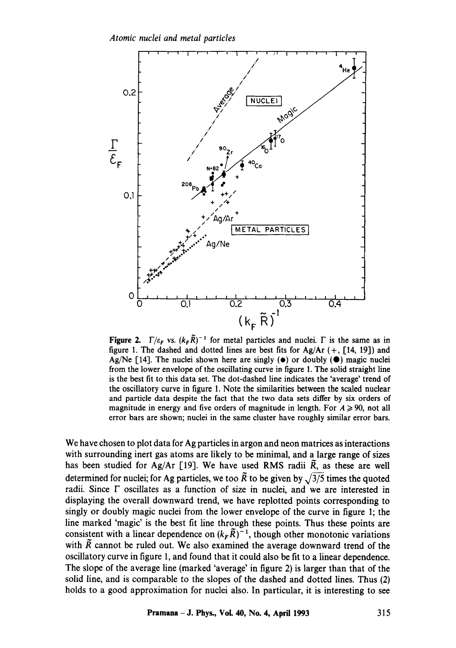

**Figure 2.**  $\Gamma/\varepsilon_F$  vs.  $(k_F \tilde{R})^{-1}$  for metal particles and nuclei.  $\Gamma$  is the same as in figure 1. The dashed and dotted lines are best fits for Ag/Ar  $(+, [14, 19])$  and Ag/Ne [14]. The nuclei shown here are singly  $(\bullet)$  or doubly  $(\bullet)$  magic nuclei from the lower envelope of the oscillating curve in figure 1. The solid straight line is the best fit to this data set. The dot-dashed line indicates the 'average' trend of the oscillatory curve in figure 1. Note the similarities between the scaled nuclear and particle data despite the fact that the two data sets differ by six orders of magnitude in energy and five orders of magnitude in length. For  $A \ge 90$ , not all error bars are shown; nuclei in the same cluster have roughly similar error bars.

We have chosen to plot data for Ag particles in argon and neon matrices as interactions with surrounding inert gas atoms are likely to be minimal, and a large range of sizes has been studied for Ag/Ar [19]. We have used RMS radii  $\tilde{R}$ , as these are well determined for nuclei; for Ag particles, we too  $\tilde{R}$  to be given by  $\sqrt{3/5}$  times the quoted radii. Since F oscillates as a function of size in nuclei, and we are interested in displaying the overall downward trend, we have replotted points corresponding to singly or doubly magic nuclei from the lower envelope of the curve in figure 1; the line marked 'magic' is the best fit line through these points. Thus these points are consistent with a linear dependence on  $(k_F\overline{R})^{-1}$ , though other monotonic variations with  $\tilde{R}$  cannot be ruled out. We also examined the average downward trend of the oscillatory curve in figure 1, and found that it could also be fit to a linear dependence. The slope of the average line (marked 'average' in figure 2) is larger than that of the solid line, and is comparable to the slopes of the dashed and dotted lines. Thus (2) holds to a good approximation for nuclei also. In particular, it is interesting to **see**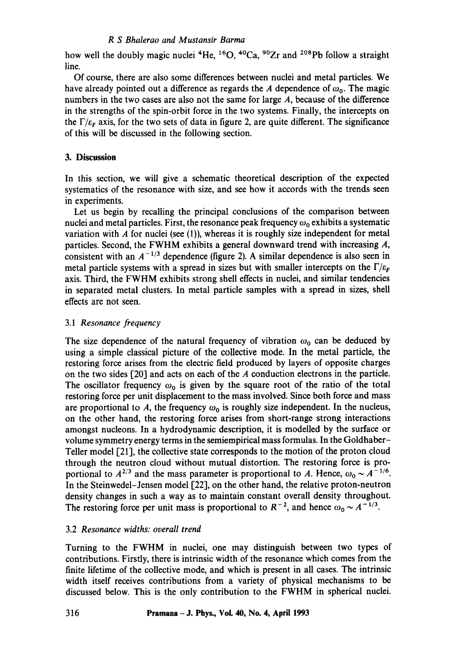how well the doubly magic nuclei <sup>4</sup>He, <sup>16</sup>O, <sup>40</sup>Ca, <sup>90</sup>Zr and <sup>208</sup>Pb follow a straight line.

Of course, there are also some differences between nuclei and metal particles. We have already pointed out a difference as regards the A dependence of  $\omega_0$ . The magic numbers in the two cases are also not the same for large A, because of the difference in the strengths of the spin-orbit force in the two systems. Finally, the intercepts on the  $\Gamma/\varepsilon_F$  axis, for the two sets of data in figure 2, are quite different. The significance of this will be discussed in the following section.

# **3. Discussion**

In this section, we will give a schematic theoretical description of the expected systematics of the resonance with size, and see how it accords with the trends seen in experiments.

Let us begin by recalling the principal conclusions of the comparison between nuclei and metal particles. First, the resonance peak frequency  $\omega_0$  exhibits a systematic variation with  $A$  for nuclei (see (1)), whereas it is roughly size independent for metal particles. Second, the FWHM exhibits a general downward trend with increasing A, consistent with an  $A^{-1/3}$  dependence (figure 2). A similar dependence is also seen in metal particle systems with a spread in sizes but with smaller intercepts on the  $\Gamma/\varepsilon_F$ axis. Third, the FWHM exhibits strong shell effects in nuclei, and similar tendencies in separated metal clusters. In metal particle samples with a spread in sizes, shell effects are not seen.

# 3.1 *Resonance frequency*

The size dependence of the natural frequency of vibration  $\omega_0$  can be deduced by using a simple classical picture of the collective mode. In the metal particle, the restoring force arises from the electric field produced by layers of opposite charges on the two sides [20] and acts on each of the A conduction electrons in the particle. The oscillator frequency  $\omega_0$  is given by the square root of the ratio of the total restoring force per unit displacement to the mass involved. Since both force and mass are proportional to A, the frequency  $\omega_0$  is roughly size independent. In the nucleus, on the other hand, the restoring force arises from short-range strong interactions amongst nucleons. In a hydrodynamic description, it is modelled by the surface or volume symmetry energy terms in the semiempirical mass formulas. In the Goldhaber-Teller model [21], the collective state corresponds to the motion of the proton cloud through the neutron cloud without mutual distortion. The restoring force is proportional to  $A^{2/3}$  and the mass parameter is proportional to A. Hence,  $\omega_0 \sim A^{-1/6}$ . In the Steinwedel-Jensen model [22], on the other hand, the relative proton-neutron density changes in such a way as to maintain constant overall density throughout. The restoring force per unit mass is proportional to  $R^{-2}$ , and hence  $\omega_0 \sim A^{-1/3}$ .

# 3.2 *Resonance widths: overall trend*

Turning to the FWHM in nuclei, one may distinguish between two types of contributions. Firstly, there is intrinsic width of the resonance which comes from the finite lifetime of the collective mode, and which is present in all cases. The intrinsic width itself receives contributions from a variety of physical mechanisms to be discussed below. This is the only contribution to the FWHM in spherical nuclei.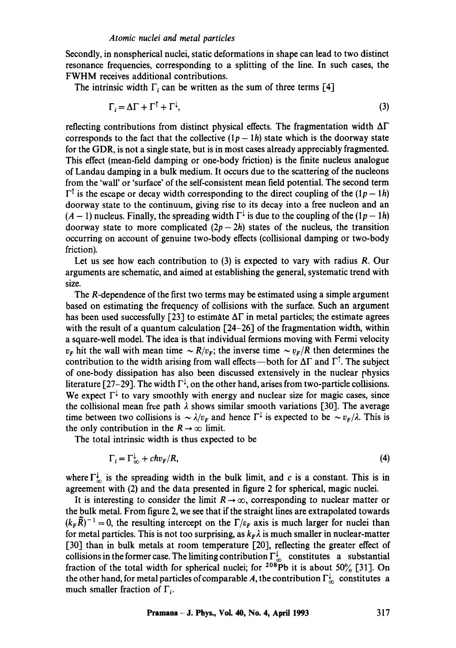Secondly, in nonspherical nuclei, static deformations in shape can lead to two distinct resonance frequencies, corresponding to a splitting of the line. In such cases, the FWHM receives additional contributions.

The intrinsic width  $\Gamma_i$  can be written as the sum of three terms [4]

$$
\Gamma_i = \Delta \Gamma + \Gamma^{\dagger} + \Gamma^{\dagger},\tag{3}
$$

reflecting contributions from distinct physical effects. The fragmentation width  $\Delta\Gamma$ corresponds to the fact that the collective  $(1p - 1h)$  state which is the doorway state for the GDR, is not a single state, but is in most cases already appreciably fragmented. This effect (mean-field damping or one-body friction) is the finite nucleus analogue of Landau damping in a bulk medium. It occurs due to the scattering of the nucleons from the 'wall' or 'surface' of the self-consistent mean field potential. The second term  $\Gamma^{\dagger}$  is the escape or decay width corresponding to the direct coupling of the  $(1p - 1h)$ doorway state to the continuum, giving rise to its decay into a free nucleon and an  $(A - 1)$  nucleus. Finally, the spreading width  $\Gamma^{\downarrow}$  is due to the coupling of the  $(1p - 1h)$ doorway state to more complicated  $(2p-2h)$  states of the nucleus, the transition occurring on account of genuine two-body effects (collisional damping or two-body friction).

Let us see how each contribution to  $(3)$  is expected to vary with radius R. Our arguments are schematic, and aimed at establishing the general, systematic trend with size.

The R-dependence of the first two terms may be estimated using a simple argument based on estimating the frequency of collisions with the surface. Such an argument has been used successfully [23] to estimate  $\Delta\Gamma$  in metal particles; the estimate agrees with the result of a quantum calculation  $[24-26]$  of the fragmentation width, within a square-well model. The idea is that individual fermions moving with Fermi velocity  $v_F$  hit the wall with mean time  $\sim R/v_F$ ; the inverse time  $\sim v_F/R$  then determines the contribution to the width arising from wall effects—both for  $\Delta\Gamma$  and  $\Gamma^{\uparrow}$ . The subject of one-body dissipation has also been discussed extensively in the nuclear physics literature [27-29]. The width  $\Gamma^{\downarrow}$ , on the other hand, arises from two-particle collisions. We expect  $\Gamma^{\downarrow}$  to vary smoothly with energy and nuclear size for magic cases, since the collisional mean free path  $\lambda$  shows similar smooth variations [30]. The average time between two collisions is  $\sim \lambda/v_F$  and hence  $\Gamma^{\downarrow}$  is expected to be  $\sim v_F/\lambda$ . This is the only contribution in the  $R \rightarrow \infty$  limit.

The total intrinsic width is thus expected to be

$$
\Gamma_i = \Gamma_{\infty}^{\downarrow} + chv_F/R, \tag{4}
$$

where  $\Gamma^{\perp}_{\infty}$  is the spreading width in the bulk limit, and c is a constant. This is in agreement with (2) and the data presented in figure 2 for spherical, magic nuclei.

It is interesting to consider the limit  $R \to \infty$ , corresponding to nuclear matter or the bulk metal. From figure 2, we see that if the straight lines are extrapolated towards  $(k_F\tilde{R})^{-1} = 0$ , the resulting intercept on the  $\Gamma/\varepsilon_F$  axis is much larger for nuclei than for metal particles. This is not too surprising, as  $k<sub>F</sub> \lambda$  is much smaller in nuclear-matter [30] than in bulk metals at room temperature [20], reflecting the greater effect of collisions in the former case. The limiting contribution  $\Gamma^{\perp}_{\infty}$  constitutes a substantial fraction of the total width for spherical nuclei; for <sup>208</sup>Pb it is about 50% [31]. On the other hand, for metal particles of comparable A, the contribution  $\Gamma^{\downarrow}_{\infty}$  constitutes a much smaller fraction of  $\Gamma_i$ .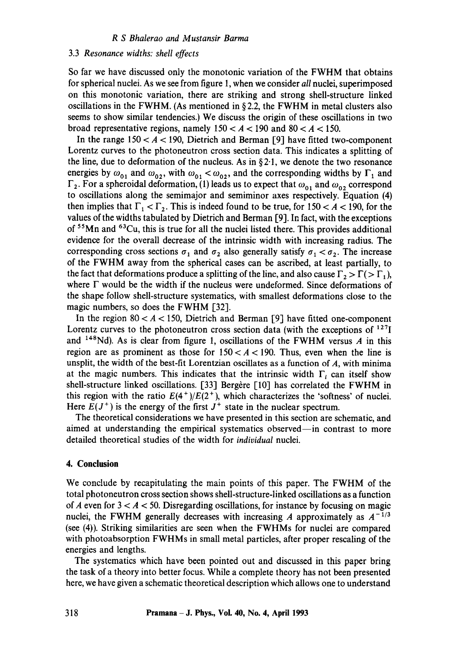#### 3.3 *Resonance widths: shell effects*

So far we have discussed only the monotonic variation of the FWHM that obtains for spherical nuclei. As we see from figure 1, when we consider *all* nuclei, superimposed on this monotonic variation, there are striking and strong shell-structure linked oscillations in the FWHM. (As mentioned in  $\S 2.2$ , the FWHM in metal clusters also seems to show similar tendencies.) We discuss the origin of these oscillations in two broad representative regions, namely  $150 < A < 190$  and  $80 < A < 150$ .

In the range  $150 < A < 190$ , Dietrich and Berman [9] have fitted two-component Lorentz curves to the photoneutron cross section data. This indicates a splitting of the line, due to deformation of the nucleus. As in  $\S 2.1$ , we denote the two resonance energies by  $\omega_{01}$  and  $\omega_{02}$ , with  $\omega_{01} < \omega_{02}$ , and the corresponding widths by  $\Gamma_1$  and  $\Gamma_2$ . For a spheroidal deformation, (1) leads us to expect that  $\omega_{01}$  and  $\omega_{02}$  correspond to oscillations along the semimajor and semiminor axes respectively. Equation (4) then implies that  $\Gamma_1 < \Gamma_2$ . This is indeed found to be true, for 150  $< A < 190$ , for the values of the widths tabulated by Dietrich and Berman [9]. In fact, with the exceptions of 55Mn and 63Cu, this is true for all the nuclei listed there. This provides additional evidence for the overall decrease of the intrinsic width with increasing radius. The corresponding cross sections  $\sigma_1$  and  $\sigma_2$  also generally satisfy  $\sigma_1 < \sigma_2$ . The increase of the FWHM away from the spherical cases can be ascribed, at least partially, to the fact that deformations produce a splitting of the line, and also cause  $\Gamma_2 > \Gamma( \Gamma_1)$ , where  $\Gamma$  would be the width if the nucleus were undeformed. Since deformations of the shape follow shell-structure systematics, with smallest deformations close to the magic numbers, so does the FWHM [32].

In the region  $80 < A < 150$ , Dietrich and Berman [9] have fitted one-component Lorentz curves to the photoneutron cross section data (with the exceptions of  $127$ and  $148$ Nd). As is clear from figure 1, oscillations of the FWHM versus A in this region are as prominent as those for  $150 < A < 190$ . Thus, even when the line is unsplit, the width of the best-fit Lorentzian oscillates as a function of  $A$ , with minima at the magic numbers. This indicates that the intrinsic width  $\Gamma_i$  can itself show shell-structure linked oscillations. [33] Bergère [10] has correlated the FWHM in this region with the ratio  $E(4^+)/E(2^+)$ , which characterizes the 'softness' of nuclei. Here  $E(J^+)$  is the energy of the first  $J^+$  state in the nuclear spectrum.

The theoretical considerations we have presented in this section are schematic, and aimed at understanding the empirical systematics observed—in contrast to more detailed theoretical studies of the width for *individual* nuclei.

## **4. Conclusion**

We conclude by recapitulating the main points of this paper. The FWHM of the total photoneutron cross section shows shell-structure-linked oscillations as a function of A even for  $3 < A < 50$ . Disregarding oscillations, for instance by focusing on magic nuclei, the FWHM generally decreases with increasing A approximately as  $A^{-1/3}$ (see (4)). Striking similarities are seen when the FWHMs for nuclei are compared with photoabsorption FWHMs in small metal particles, after proper rescaling of the energies and lengths.

The systematics which have been pointed out and discussed in this paper bring the task of a theory into better focus. While a complete theory has not been presented here, we have given a schematic theoretical description which allows one to understand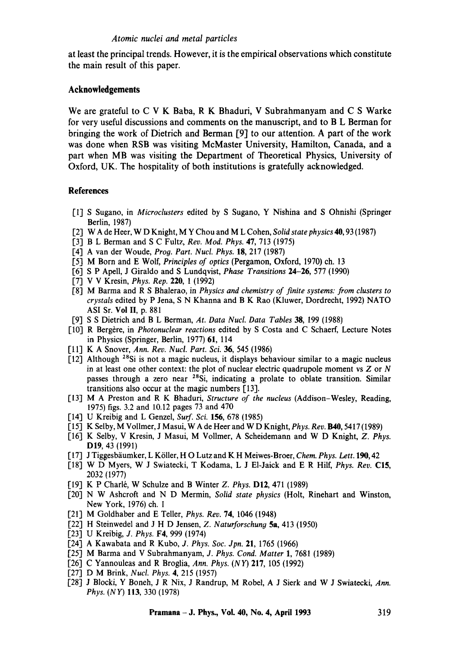## *Atomic nuclei and metal particles*

at least the principal trends. However, it is the empirical observations which constitute the main result of this paper.

# **Acknowledgements**

We are grateful to C V K Baba, R K Bhaduri, V Subrahmanyam and C S Warke for very useful discussions and comments on the manuscript, and to B L Berman for bringing the work of Dietrich and Berman [9] to our attention. A part of the work was done when RSB was visiting McMaster University, Hamilton, Canada, and a part when MB was visiting the Department of Theoretical Physics, University of Oxford, UK. The hospitality of both institutions is gratefully acknowledged.

# **References**

- [1] S Sugano, in *Microclusters* edited by S Sugano, Y Nishina and S Ohnishi (Springer Berlin, 1987)
- [2] W A de Heer, W D Knight, M Y Chou and M L Cohen, *Solid state physics* 40, 93 (1987)
- [3] B L Berman and S C Fultz, *Rev. Mod. Phys.* 47, 713 (1975)
- [4] A van der Woude, *Prog. Part. Nucl. Phys.* 18, 217 (1987)
- [5] M Born and E Wolf, *Principles of optics* (Pergamon, Oxford, 1970) ch. 13
- [6] S P Apell, J Giraldo and S Lundqvist, *Phase Transitions* 24-26, 577 (1990)
- [7] V V Kresin, *Phys. Rep.* 220, 1 (1992)
- [8] M Barma and R S Bhalerao, in *Physics and chemistry of finite systems: from clusters to crystals* edited by P Jena, S N Khanna and B K Rao (Kluwer, Dordrecht, 1992) NATO ASI Sr. Vol II, p. 881
- [9] S S Dietrich and B L Berman, *At. Data Nucl. Data Tables* 38, 199 (1988)
- [10] R Berg6re, in *Photonuclear reactions* edited by S Costa and C Schaerf, Lecture Notes in Physics (Springer, Berlin, 1977) 61, 114
- [11] K A Snover, *Ann. Rev. Nucl. Part. Sci.* 36, 545 (1986)
- [12] Although <sup>28</sup>Si is not a magic nucleus, it displays behaviour similar to a magic nucleus in at least one other context: the plot of nuclear electric quadrupole moment vs  $Z$  or  $N$ passes through a zero near <sup>28</sup>Si, indicating a prolate to oblate transition. Similar transitions also occur at the magic numbers [13].
- [13] M A Preston and R K Bhaduri, *Structure of the nucleus* (Addison-Wesley, Reading, 1975) figs. 3.2 and 10.12 pages 73 and 470
- [14] U Kreibig and L Genzel, *Surf. Sci.* 156, 678 (1985)
- [15] K Selby, M Vollmer, J Masui, W A de Heer and W D Knight, *Phys. Rev.* **B40**, 5417 (1989)
- [16] K Selby, V Kresin, J Masui, M Vollmer, A Scheidemann and W D Knight, *Z. Phys.*  DI9, 43 (1991)
- [ 17] J Tiggesb~iumker, L K611er, H O Lutz and K H Meiwes-Broer, *Chem. Phys. Lett.* 190, 42
- [18] W D Myers, W J Swiatecki, T Kodama, L J EI-Jaick and E R Hilf, *Phys. Rev.* C15, 2032 (1977)
- [19] K P Charl6, W Schulze and B Winter *Z. Phys.* DI2, 471 (1989)
- [20] N W Ashcroft and N D Mermin, *Solid state physics* (Holt, Rinehart and Winston, New York, 1976) ch. 1
- [21] M Goldhaber and E Teller, *Phys. Rev.* 74, 1046 (1948)
- [22] H Steinwedel and J H D Jensen, *Z. Naturforschun9* 5a, 413 (1950)
- [23] U Kreibig, *J. Phys.* F4, 999 (1974)
- [24] A Kawabata and R Kubo, *J. Phys. Soc. Jpn.* 21, 1765 (1966)
- [25] M Barma and V Subrahmanyam, *J. Phys. Cond. Matter* 1, 7681 (1989)
- [26] C Yannouleas and R Broglia, *Ann. Phys. (NY)* 217, 105 (1992)
- [27] D M Brink, *Nucl. Phys.* 4, 215 (1957)
- [28] J Blocki, Y Boneh, J R Nix, J Randrup, M Robel, A J Sierk and W J Swiatecki, *Ann. Phys. (NY)* 113, 330 (1978)